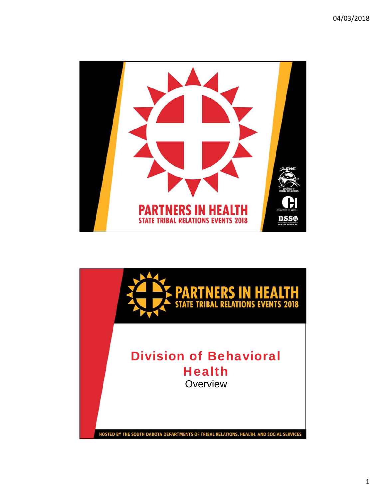

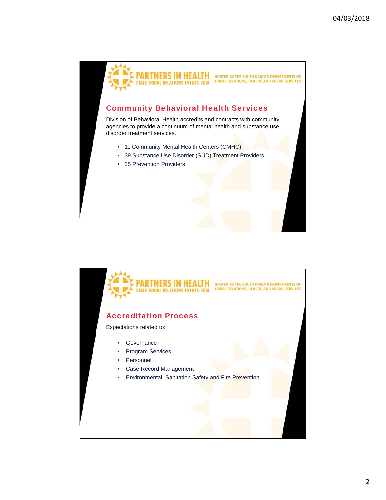

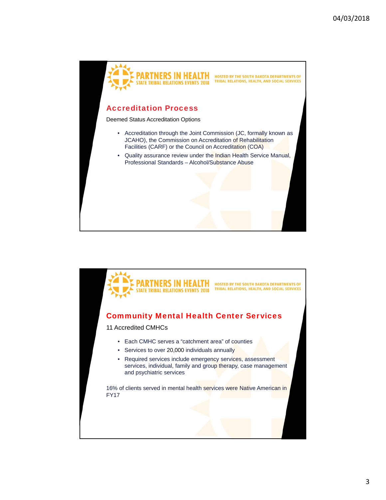

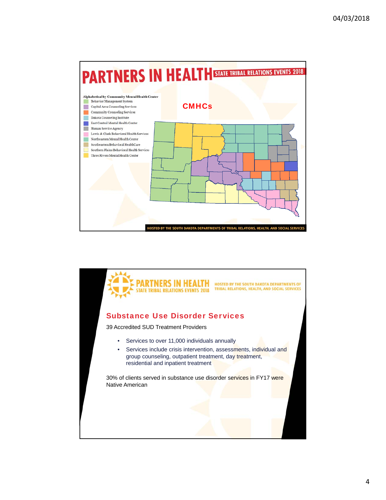